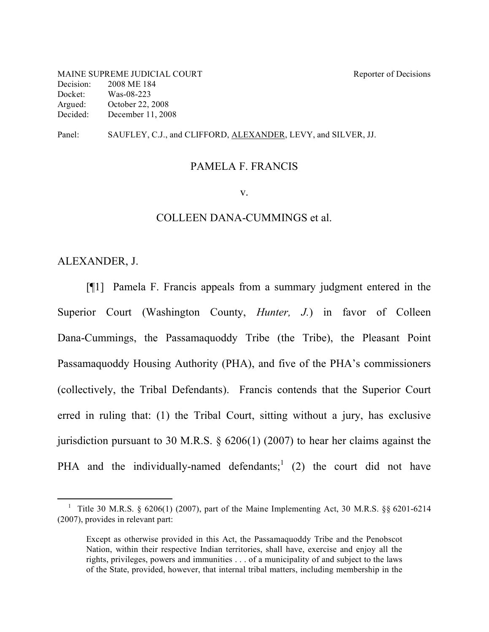MAINE SUPREME JUDICIAL COURT Reporter of Decisions Decision: 2008 ME 184 Docket: Was-08-223 Argued: October 22, 2008 Decided: December 11, 2008

Panel: SAUFLEY, C.J., and CLIFFORD, ALEXANDER, LEVY, and SILVER, JJ.

#### PAMELA F. FRANCIS

#### v.

#### COLLEEN DANA-CUMMINGS et al.

## ALEXANDER, J.

[¶1] Pamela F. Francis appeals from a summary judgment entered in the Superior Court (Washington County, *Hunter, J.*) in favor of Colleen Dana-Cummings, the Passamaquoddy Tribe (the Tribe), the Pleasant Point Passamaquoddy Housing Authority (PHA), and five of the PHA's commissioners (collectively, the Tribal Defendants). Francis contends that the Superior Court erred in ruling that: (1) the Tribal Court, sitting without a jury, has exclusive jurisdiction pursuant to 30 M.R.S. § 6206(1) (2007) to hear her claims against the PHA and the individually-named defendants;<sup>1</sup> (2) the court did not have

<sup>&</sup>lt;sup>1</sup> Title 30 M.R.S. § 6206(1) (2007), part of the Maine Implementing Act, 30 M.R.S. §§ 6201-6214 (2007), provides in relevant part:

Except as otherwise provided in this Act, the Passamaquoddy Tribe and the Penobscot Nation, within their respective Indian territories, shall have, exercise and enjoy all the rights, privileges, powers and immunities . . . of a municipality of and subject to the laws of the State, provided, however, that internal tribal matters, including membership in the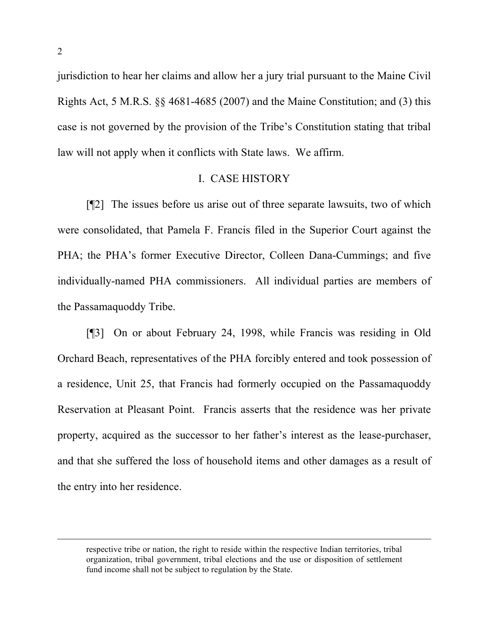jurisdiction to hear her claims and allow her a jury trial pursuant to the Maine Civil Rights Act, 5 M.R.S. §§ 4681-4685 (2007) and the Maine Constitution; and (3) this case is not governed by the provision of the Tribe's Constitution stating that tribal law will not apply when it conflicts with State laws. We affirm.

## I. CASE HISTORY

[¶2] The issues before us arise out of three separate lawsuits, two of which were consolidated, that Pamela F. Francis filed in the Superior Court against the PHA; the PHA's former Executive Director, Colleen Dana-Cummings; and five individually-named PHA commissioners. All individual parties are members of the Passamaquoddy Tribe.

[¶3] On or about February 24, 1998, while Francis was residing in Old Orchard Beach, representatives of the PHA forcibly entered and took possession of a residence, Unit 25, that Francis had formerly occupied on the Passamaquoddy Reservation at Pleasant Point. Francis asserts that the residence was her private property, acquired as the successor to her father's interest as the lease-purchaser, and that she suffered the loss of household items and other damages as a result of the entry into her residence.

 respective tribe or nation, the right to reside within the respective Indian territories, tribal organization, tribal government, tribal elections and the use or disposition of settlement fund income shall not be subject to regulation by the State.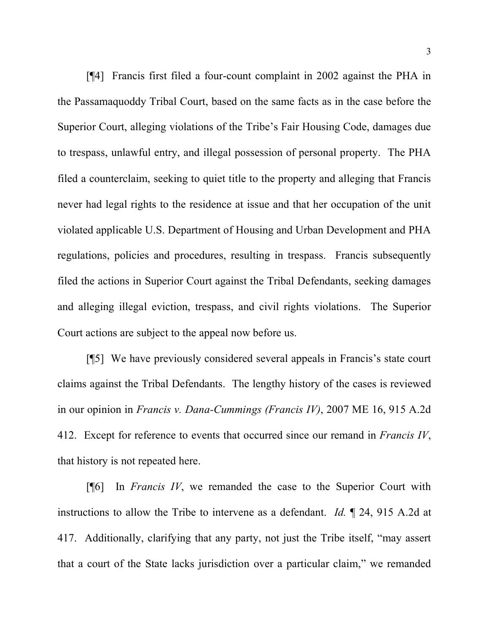[¶4] Francis first filed a four-count complaint in 2002 against the PHA in the Passamaquoddy Tribal Court, based on the same facts as in the case before the Superior Court, alleging violations of the Tribe's Fair Housing Code, damages due to trespass, unlawful entry, and illegal possession of personal property. The PHA filed a counterclaim, seeking to quiet title to the property and alleging that Francis never had legal rights to the residence at issue and that her occupation of the unit violated applicable U.S. Department of Housing and Urban Development and PHA regulations, policies and procedures, resulting in trespass. Francis subsequently filed the actions in Superior Court against the Tribal Defendants, seeking damages and alleging illegal eviction, trespass, and civil rights violations. The Superior Court actions are subject to the appeal now before us.

[¶5] We have previously considered several appeals in Francis's state court claims against the Tribal Defendants. The lengthy history of the cases is reviewed in our opinion in *Francis v. Dana-Cummings (Francis IV)*, 2007 ME 16, 915 A.2d 412. Except for reference to events that occurred since our remand in *Francis IV*, that history is not repeated here.

[¶6] In *Francis IV*, we remanded the case to the Superior Court with instructions to allow the Tribe to intervene as a defendant. *Id.* ¶ 24, 915 A.2d at 417. Additionally, clarifying that any party, not just the Tribe itself, "may assert that a court of the State lacks jurisdiction over a particular claim," we remanded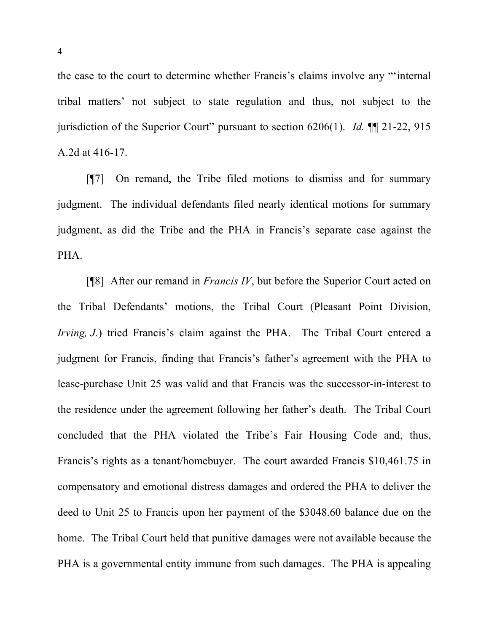the case to the court to determine whether Francis's claims involve any "'internal tribal matters' not subject to state regulation and thus, not subject to the jurisdiction of the Superior Court" pursuant to section 6206(1). *Id.* ¶¶ 21-22, 915 A.2d at 416-17.

[¶7] On remand, the Tribe filed motions to dismiss and for summary judgment. The individual defendants filed nearly identical motions for summary judgment, as did the Tribe and the PHA in Francis's separate case against the PHA.

[¶8] After our remand in *Francis IV*, but before the Superior Court acted on the Tribal Defendants' motions, the Tribal Court (Pleasant Point Division, *Irving, J.*) tried Francis's claim against the PHA. The Tribal Court entered a judgment for Francis, finding that Francis's father's agreement with the PHA to lease-purchase Unit 25 was valid and that Francis was the successor-in-interest to the residence under the agreement following her father's death. The Tribal Court concluded that the PHA violated the Tribe's Fair Housing Code and, thus, Francis's rights as a tenant/homebuyer. The court awarded Francis \$10,461.75 in compensatory and emotional distress damages and ordered the PHA to deliver the deed to Unit 25 to Francis upon her payment of the \$3048.60 balance due on the home. The Tribal Court held that punitive damages were not available because the PHA is a governmental entity immune from such damages. The PHA is appealing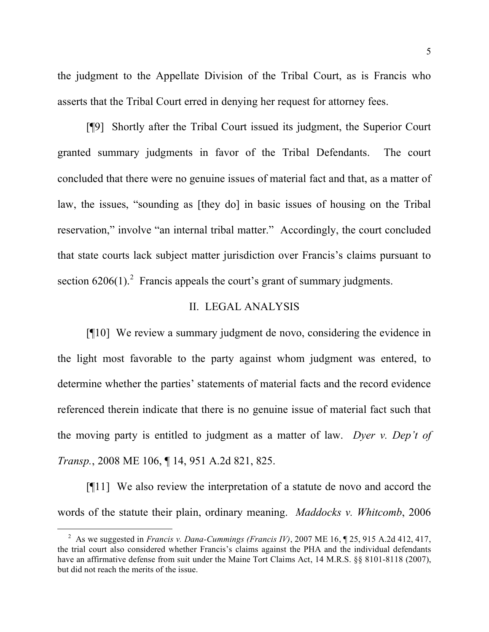the judgment to the Appellate Division of the Tribal Court, as is Francis who asserts that the Tribal Court erred in denying her request for attorney fees.

[¶9] Shortly after the Tribal Court issued its judgment, the Superior Court granted summary judgments in favor of the Tribal Defendants. The court concluded that there were no genuine issues of material fact and that, as a matter of law, the issues, "sounding as [they do] in basic issues of housing on the Tribal reservation," involve "an internal tribal matter." Accordingly, the court concluded that state courts lack subject matter jurisdiction over Francis's claims pursuant to section  $6206(1)$ <sup>2</sup> Francis appeals the court's grant of summary judgments.

## II. LEGAL ANALYSIS

[¶10] We review a summary judgment de novo, considering the evidence in the light most favorable to the party against whom judgment was entered, to determine whether the parties' statements of material facts and the record evidence referenced therein indicate that there is no genuine issue of material fact such that the moving party is entitled to judgment as a matter of law. *Dyer v. Dep't of Transp.*, 2008 ME 106, ¶ 14, 951 A.2d 821, 825.

[¶11] We also review the interpretation of a statute de novo and accord the words of the statute their plain, ordinary meaning. *Maddocks v. Whitcomb*, 2006

 <sup>2</sup> As we suggested in *Francis v. Dana-Cummings (Francis IV)*, <sup>2007</sup> ME 16, ¶ 25, <sup>915</sup> A.2d 412, 417, the trial court also considered whether Francis's claims against the PHA and the individual defendants have an affirmative defense from suit under the Maine Tort Claims Act, 14 M.R.S.  $\S$  8101-8118 (2007), but did not reach the merits of the issue.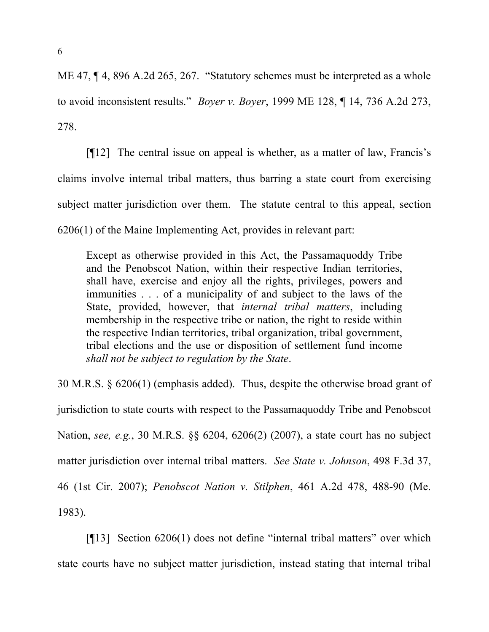ME 47, ¶ 4, 896 A.2d 265, 267. "Statutory schemes must be interpreted as a whole to avoid inconsistent results." *Boyer v. Boyer*, 1999 ME 128, ¶ 14, 736 A.2d 273, 278.

[¶12] The central issue on appeal is whether, as a matter of law, Francis's claims involve internal tribal matters, thus barring a state court from exercising subject matter jurisdiction over them. The statute central to this appeal, section 6206(1) of the Maine Implementing Act, provides in relevant part:

Except as otherwise provided in this Act, the Passamaquoddy Tribe and the Penobscot Nation, within their respective Indian territories, shall have, exercise and enjoy all the rights, privileges, powers and immunities . . . of a municipality of and subject to the laws of the State, provided, however, that *internal tribal matters*, including membership in the respective tribe or nation, the right to reside within the respective Indian territories, tribal organization, tribal government, tribal elections and the use or disposition of settlement fund income *shall not be subject to regulation by the State*.

30 M.R.S. § 6206(1) (emphasis added). Thus, despite the otherwise broad grant of jurisdiction to state courts with respect to the Passamaquoddy Tribe and Penobscot Nation, *see, e.g.*, 30 M.R.S. §§ 6204, 6206(2) (2007), a state court has no subject matter jurisdiction over internal tribal matters. *See State v. Johnson*, 498 F.3d 37, 46 (1st Cir. 2007); *Penobscot Nation v. Stilphen*, 461 A.2d 478, 488-90 (Me. 1983).

[¶13] Section 6206(1) does not define "internal tribal matters" over which state courts have no subject matter jurisdiction, instead stating that internal tribal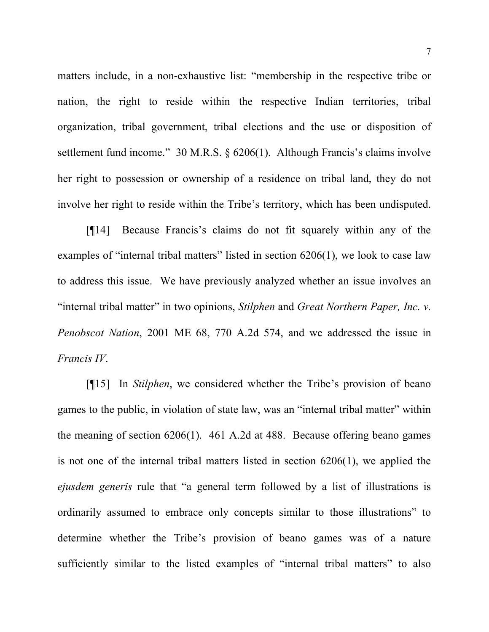matters include, in a non-exhaustive list: "membership in the respective tribe or nation, the right to reside within the respective Indian territories, tribal organization, tribal government, tribal elections and the use or disposition of settlement fund income." 30 M.R.S. § 6206(1). Although Francis's claims involve her right to possession or ownership of a residence on tribal land, they do not involve her right to reside within the Tribe's territory, which has been undisputed.

[¶14] Because Francis's claims do not fit squarely within any of the examples of "internal tribal matters" listed in section 6206(1), we look to case law to address this issue. We have previously analyzed whether an issue involves an "internal tribal matter" in two opinions, *Stilphen* and *Great Northern Paper, Inc. v. Penobscot Nation*, 2001 ME 68, 770 A.2d 574, and we addressed the issue in *Francis IV*.

[¶15] In *Stilphen*, we considered whether the Tribe's provision of beano games to the public, in violation of state law, was an "internal tribal matter" within the meaning of section 6206(1). 461 A.2d at 488. Because offering beano games is not one of the internal tribal matters listed in section 6206(1), we applied the *ejusdem generis* rule that "a general term followed by a list of illustrations is ordinarily assumed to embrace only concepts similar to those illustrations" to determine whether the Tribe's provision of beano games was of a nature sufficiently similar to the listed examples of "internal tribal matters" to also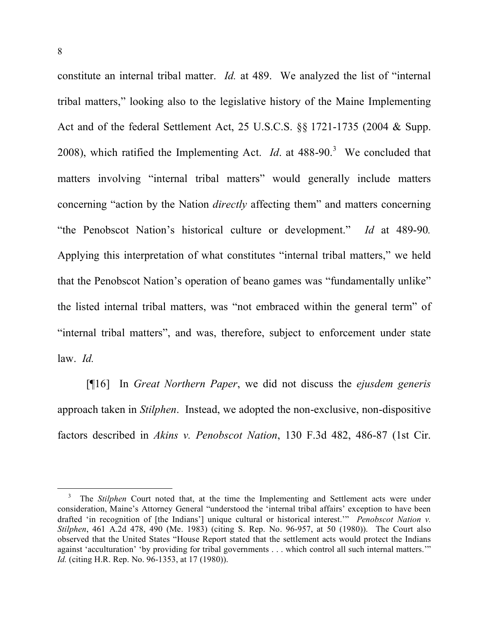constitute an internal tribal matter. *Id.* at 489. We analyzed the list of "internal tribal matters," looking also to the legislative history of the Maine Implementing Act and of the federal Settlement Act, 25 U.S.C.S. §§ 1721-1735 (2004 & Supp. 2008), which ratified the Implementing Act. *Id.* at  $488-90^3$ . We concluded that matters involving "internal tribal matters" would generally include matters concerning "action by the Nation *directly* affecting them" and matters concerning "the Penobscot Nation's historical culture or development." *Id* at 489-90*.* Applying this interpretation of what constitutes "internal tribal matters," we held that the Penobscot Nation's operation of beano games was "fundamentally unlike" the listed internal tribal matters, was "not embraced within the general term" of "internal tribal matters", and was, therefore, subject to enforcement under state law. *Id.*

[¶16] In *Great Northern Paper*, we did not discuss the *ejusdem generis* approach taken in *Stilphen*. Instead, we adopted the non-exclusive, non-dispositive factors described in *Akins v. Penobscot Nation*, 130 F.3d 482, 486-87 (1st Cir.

<sup>&</sup>lt;sup>3</sup> The *Stilphen* Court noted that, at the time the Implementing and Settlement acts were under consideration, Maine's Attorney General "understood the 'internal tribal affairs' exception to have been drafted 'in recognition of [the Indians'] unique cultural or historical interest.'" *Penobscot Nation v. Stilphen*, 461 A.2d 478, 490 (Me. 1983) (citing S. Rep. No. 96-957, at 50 (1980)). The Court also observed that the United States "House Report stated that the settlement acts would protect the Indians against 'acculturation' 'by providing for tribal governments . . . which control all such internal matters.'" *Id.* (citing H.R. Rep. No. 96-1353, at 17 (1980)).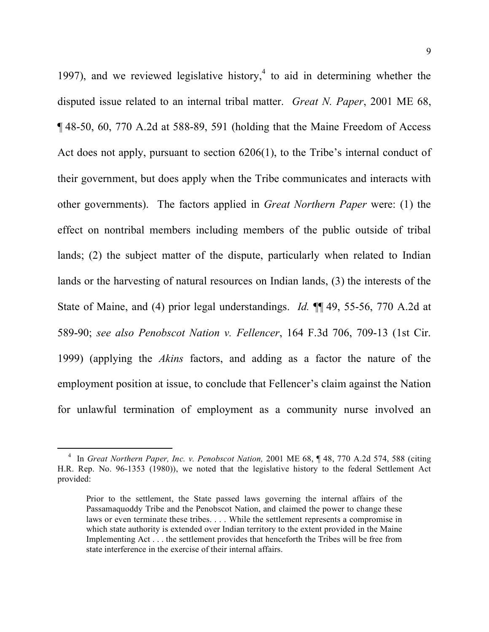1997), and we reviewed legislative history, <sup>4</sup> to aid in determining whether the disputed issue related to an internal tribal matter. *Great N. Paper*, 2001 ME 68, ¶ 48-50, 60, 770 A.2d at 588-89, 591 (holding that the Maine Freedom of Access Act does not apply, pursuant to section 6206(1), to the Tribe's internal conduct of their government, but does apply when the Tribe communicates and interacts with other governments). The factors applied in *Great Northern Paper* were: (1) the effect on nontribal members including members of the public outside of tribal lands; (2) the subject matter of the dispute, particularly when related to Indian lands or the harvesting of natural resources on Indian lands, (3) the interests of the State of Maine, and (4) prior legal understandings. *Id.* ¶¶ 49, 55-56, 770 A.2d at 589-90; *see also Penobscot Nation v. Fellencer*, 164 F.3d 706, 709-13 (1st Cir. 1999) (applying the *Akins* factors, and adding as a factor the nature of the employment position at issue, to conclude that Fellencer's claim against the Nation for unlawful termination of employment as a community nurse involved an

 <sup>4</sup> In *Great Northern Paper, Inc. v. Penobscot Nation,* <sup>2001</sup> ME 68, ¶ 48, <sup>770</sup> A.2d 574, <sup>588</sup> (citing H.R. Rep. No. 96-1353 (1980)), we noted that the legislative history to the federal Settlement Act provided:

Prior to the settlement, the State passed laws governing the internal affairs of the Passamaquoddy Tribe and the Penobscot Nation, and claimed the power to change these laws or even terminate these tribes. . . . While the settlement represents a compromise in which state authority is extended over Indian territory to the extent provided in the Maine Implementing Act . . . the settlement provides that henceforth the Tribes will be free from state interference in the exercise of their internal affairs.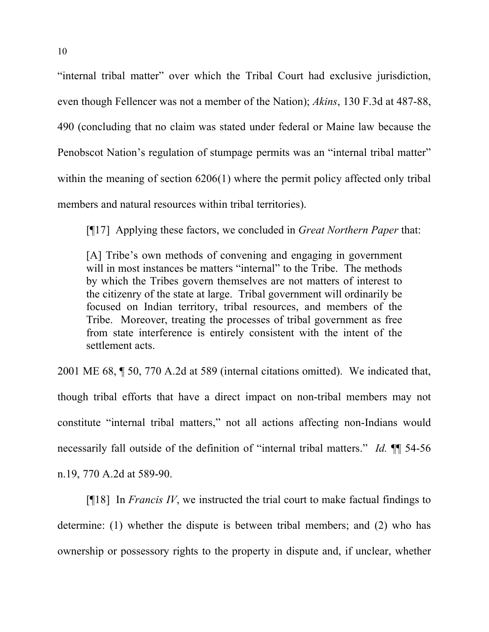"internal tribal matter" over which the Tribal Court had exclusive jurisdiction, even though Fellencer was not a member of the Nation); *Akins*, 130 F.3d at 487-88, 490 (concluding that no claim was stated under federal or Maine law because the Penobscot Nation's regulation of stumpage permits was an "internal tribal matter" within the meaning of section 6206(1) where the permit policy affected only tribal members and natural resources within tribal territories).

[¶17] Applying these factors, we concluded in *Great Northern Paper* that:

[A] Tribe's own methods of convening and engaging in government will in most instances be matters "internal" to the Tribe. The methods by which the Tribes govern themselves are not matters of interest to the citizenry of the state at large. Tribal government will ordinarily be focused on Indian territory, tribal resources, and members of the Tribe. Moreover, treating the processes of tribal government as free from state interference is entirely consistent with the intent of the settlement acts.

2001 ME 68, ¶ 50, 770 A.2d at 589 (internal citations omitted). We indicated that, though tribal efforts that have a direct impact on non-tribal members may not constitute "internal tribal matters," not all actions affecting non-Indians would necessarily fall outside of the definition of "internal tribal matters." *Id.* ¶¶ 54-56 n.19, 770 A.2d at 589-90.

[¶18] In *Francis IV*, we instructed the trial court to make factual findings to determine: (1) whether the dispute is between tribal members; and (2) who has ownership or possessory rights to the property in dispute and, if unclear, whether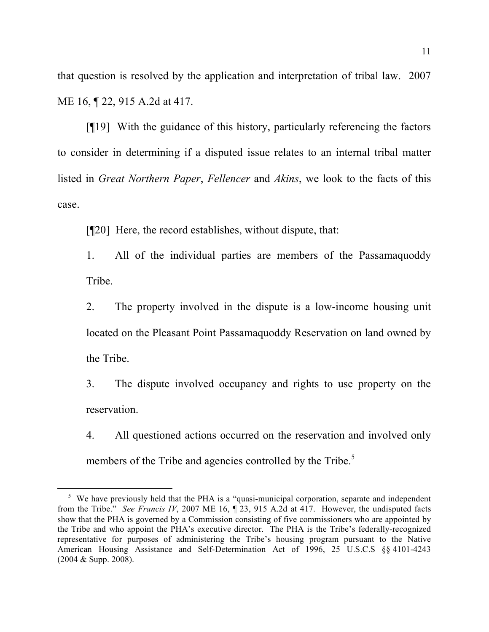that question is resolved by the application and interpretation of tribal law. 2007 ME 16, ¶ 22, 915 A.2d at 417.

[¶19] With the guidance of this history, particularly referencing the factors to consider in determining if a disputed issue relates to an internal tribal matter listed in *Great Northern Paper*, *Fellencer* and *Akins*, we look to the facts of this case.

[¶20] Here, the record establishes, without dispute, that:

1. All of the individual parties are members of the Passamaquoddy Tribe.

2. The property involved in the dispute is a low-income housing unit located on the Pleasant Point Passamaquoddy Reservation on land owned by the Tribe.

3. The dispute involved occupancy and rights to use property on the reservation.

4. All questioned actions occurred on the reservation and involved only members of the Tribe and agencies controlled by the Tribe.<sup>5</sup>

 $5\,\text{We have previously held that the PHA is a "quasi-municipal corporation, separate and independent.}$ from the Tribe." *See Francis IV*, 2007 ME 16, ¶ 23, 915 A.2d at 417. However, the undisputed facts show that the PHA is governed by a Commission consisting of five commissioners who are appointed by the Tribe and who appoint the PHA's executive director. The PHA is the Tribe's federally-recognized representative for purposes of administering the Tribe's housing program pursuant to the Native American Housing Assistance and Self-Determination Act of 1996, 25 U.S.C.S §§ 4101-4243 (2004 & Supp. 2008).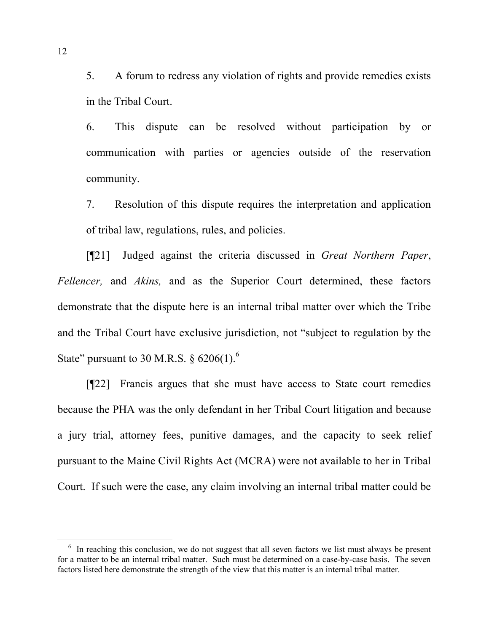5. A forum to redress any violation of rights and provide remedies exists in the Tribal Court.

6. This dispute can be resolved without participation by or communication with parties or agencies outside of the reservation community.

7. Resolution of this dispute requires the interpretation and application of tribal law, regulations, rules, and policies.

[¶21] Judged against the criteria discussed in *Great Northern Paper*, *Fellencer,* and *Akins,* and as the Superior Court determined, these factors demonstrate that the dispute here is an internal tribal matter over which the Tribe and the Tribal Court have exclusive jurisdiction, not "subject to regulation by the State" pursuant to 30 M.R.S.  $\S$  6206(1).<sup>6</sup>

[¶22] Francis argues that she must have access to State court remedies because the PHA was the only defendant in her Tribal Court litigation and because a jury trial, attorney fees, punitive damages, and the capacity to seek relief pursuant to the Maine Civil Rights Act (MCRA) were not available to her in Tribal Court. If such were the case, any claim involving an internal tribal matter could be

 $6\sigma$  In reaching this conclusion, we do not suggest that all seven factors we list must always be present for a matter to be an internal tribal matter. Such must be determined on a case-by-case basis. The seven factors listed here demonstrate the strength of the view that this matter is an internal tribal matter.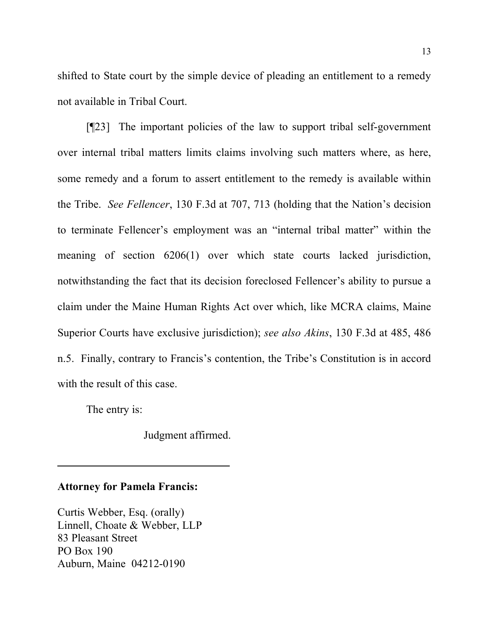shifted to State court by the simple device of pleading an entitlement to a remedy not available in Tribal Court.

[¶23] The important policies of the law to support tribal self-government over internal tribal matters limits claims involving such matters where, as here, some remedy and a forum to assert entitlement to the remedy is available within the Tribe. *See Fellencer*, 130 F.3d at 707, 713 (holding that the Nation's decision to terminate Fellencer's employment was an "internal tribal matter" within the meaning of section 6206(1) over which state courts lacked jurisdiction, notwithstanding the fact that its decision foreclosed Fellencer's ability to pursue a claim under the Maine Human Rights Act over which, like MCRA claims, Maine Superior Courts have exclusive jurisdiction); *see also Akins*, 130 F.3d at 485, 486 n.5. Finally, contrary to Francis's contention, the Tribe's Constitution is in accord with the result of this case.

The entry is:

Judgment affirmed.

#### **Attorney for Pamela Francis:**

Curtis Webber, Esq. (orally) Linnell, Choate & Webber, LLP 83 Pleasant Street PO Box 190 Auburn, Maine 04212-0190